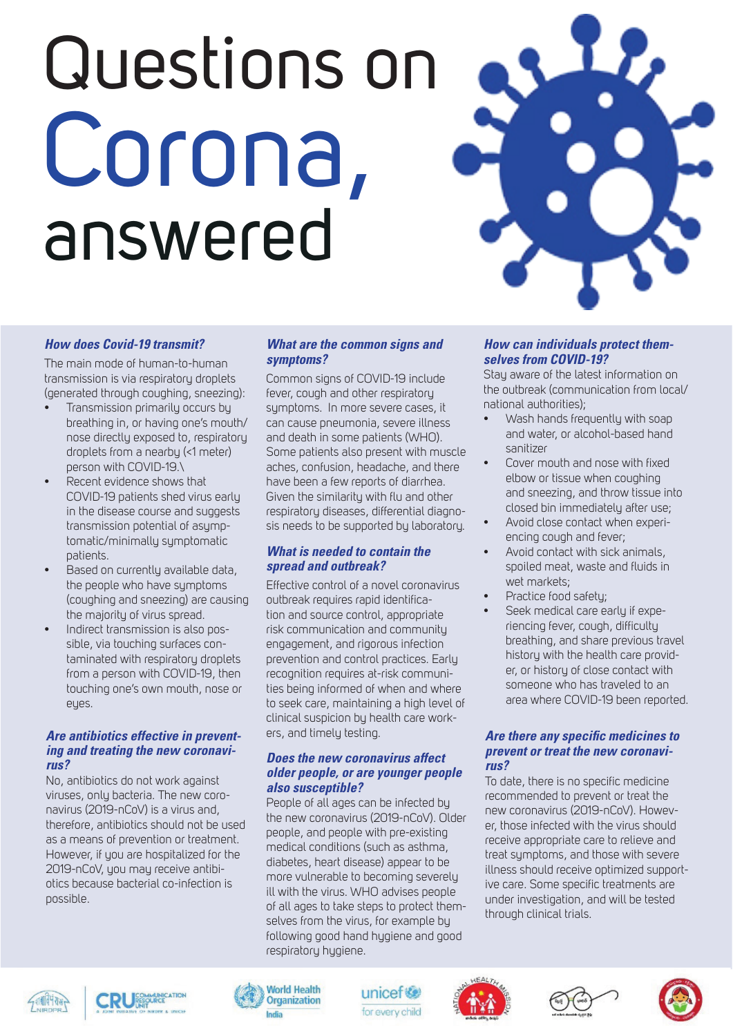# Questions on Corona, answered



# *How does Covid-19 transmit?*

The main mode of human-to-human transmission is via respiratory droplets (generated through coughing, sneezing):

- Transmission primarily occurs by breathing in, or having one's mouth/ nose directly exposed to, respiratory droplets from a nearby (<1 meter) person with COVID-19.\
- Recent evidence shows that COVID-19 patients shed virus early in the disease course and suggests transmission potential of asymptomatic/minimally symptomatic patients.
- Based on currently available data, the people who have symptoms (coughing and sneezing) are causing the majority of virus spread.
- Indirect transmission is also possible, via touching surfaces contaminated with respiratory droplets from a person with COVID-19, then touching one's own mouth, nose or eyes.

# *Are antibiotics effective in preventing and treating the new coronavirus?*

No, antibiotics do not work against viruses, only bacteria. The new coronavirus (2019-nCoV) is a virus and, therefore, antibiotics should not be used as a means of prevention or treatment. However, if you are hospitalized for the 2019-nCoV, you may receive antibiotics because bacterial co-infection is possible.

# *What are the common signs and symptoms?*

Common signs of COVID-19 include fever, cough and other respiratory symptoms. In more severe cases, it can cause pneumonia, severe illness and death in some patients (WHO). Some patients also present with muscle aches, confusion, headache, and there have been a few reports of diarrhea. Given the similarity with flu and other respiratory diseases, differential diagnosis needs to be supported by laboratory.

# *What is needed to contain the spread and outbreak?*

Effective control of a novel coronavirus outbreak requires rapid identification and source control, appropriate risk communication and community engagement, and rigorous infection prevention and control practices. Early recognition requires at-risk communities being informed of when and where to seek care, maintaining a high level of clinical suspicion by health care workers, and timely testing.

## *Does the new coronavirus affect older people, or are younger people also susceptible?*

People of all ages can be infected by the new coronavirus (2019-nCoV). Older people, and people with pre-existing medical conditions (such as asthma, diabetes, heart disease) appear to be more vulnerable to becoming severely ill with the virus. WHO advises people of all ages to take steps to protect themselves from the virus, for example by following good hand hygiene and good respiratory hygiene.

# *How can individuals protect themselves from COVID-19?*

Stay aware of the latest information on the outbreak (communication from local/ national authorities);

- Wash hands frequently with soap and water, or alcohol-based hand sanitizer
- Cover mouth and nose with fixed elbow or tissue when coughing and sneezing, and throw tissue into closed bin immediately after use;
- Avoid close contact when experiencing cough and fever;
- Avoid contact with sick animals, spoiled meat, waste and fluids in wet markets;
- Practice food safety;
	- Seek medical care early if experiencing fever, cough, difficulty breathing, and share previous travel history with the health care provider, or history of close contact with someone who has traveled to an area where COVID-19 been reported.

#### *Are there any specific medicines to prevent or treat the new coronavirus?*

To date, there is no specific medicine recommended to prevent or treat the new coronavirus (2019-nCoV). However, those infected with the virus should receive appropriate care to relieve and treat symptoms, and those with severe illness should receive optimized supportive care. Some specific treatments are under investigation, and will be tested through clinical trials.